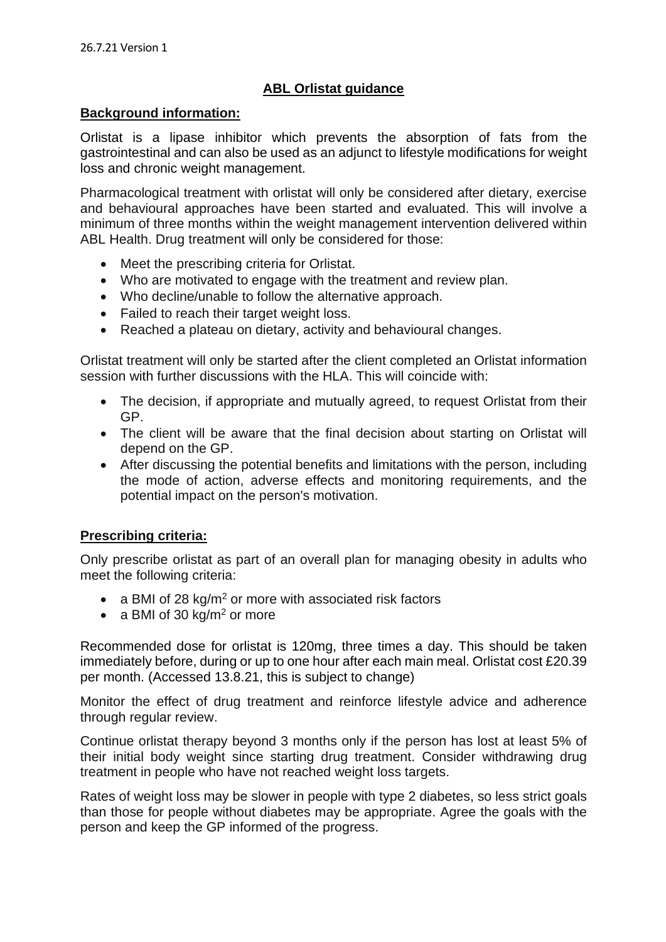## **ABL Orlistat guidance**

#### **Background information:**

Orlistat is a lipase inhibitor which prevents the absorption of fats from the gastrointestinal and can also be used as an adjunct to lifestyle modifications for weight loss and chronic weight management.

Pharmacological treatment with orlistat will only be considered after dietary, exercise and behavioural approaches have been started and evaluated. This will involve a minimum of three months within the weight management intervention delivered within ABL Health. Drug treatment will only be considered for those:

- Meet the prescribing criteria for Orlistat.
- Who are motivated to engage with the treatment and review plan.
- Who decline/unable to follow the alternative approach.
- Failed to reach their target weight loss.
- Reached a plateau on dietary, activity and behavioural changes.

Orlistat treatment will only be started after the client completed an Orlistat information session with further discussions with the HLA. This will coincide with:

- The decision, if appropriate and mutually agreed, to request Orlistat from their GP.
- The client will be aware that the final decision about starting on Orlistat will depend on the GP.
- After discussing the potential benefits and limitations with the person, including the mode of action, adverse effects and monitoring requirements, and the potential impact on the person's motivation.

#### **Prescribing criteria:**

Only prescribe orlistat as part of an overall plan for managing obesity in adults who meet the following criteria:

- a BMI of 28 kg/m<sup>2</sup> or more with associated risk factors
- a BMI of 30  $kg/m<sup>2</sup>$  or more

Recommended dose for orlistat is 120mg, three times a day. This should be taken immediately before, during or up to one hour after each main meal. Orlistat cost £20.39 per month. (Accessed 13.8.21, this is subject to change)

Monitor the effect of drug treatment and reinforce lifestyle advice and adherence through regular review.

Continue orlistat therapy beyond 3 months only if the person has lost at least 5% of their initial body weight since starting drug treatment. Consider withdrawing drug treatment in people who have not reached weight loss targets.

Rates of weight loss may be slower in people with type 2 diabetes, so less strict goals than those for people without diabetes may be appropriate. Agree the goals with the person and keep the GP informed of the progress.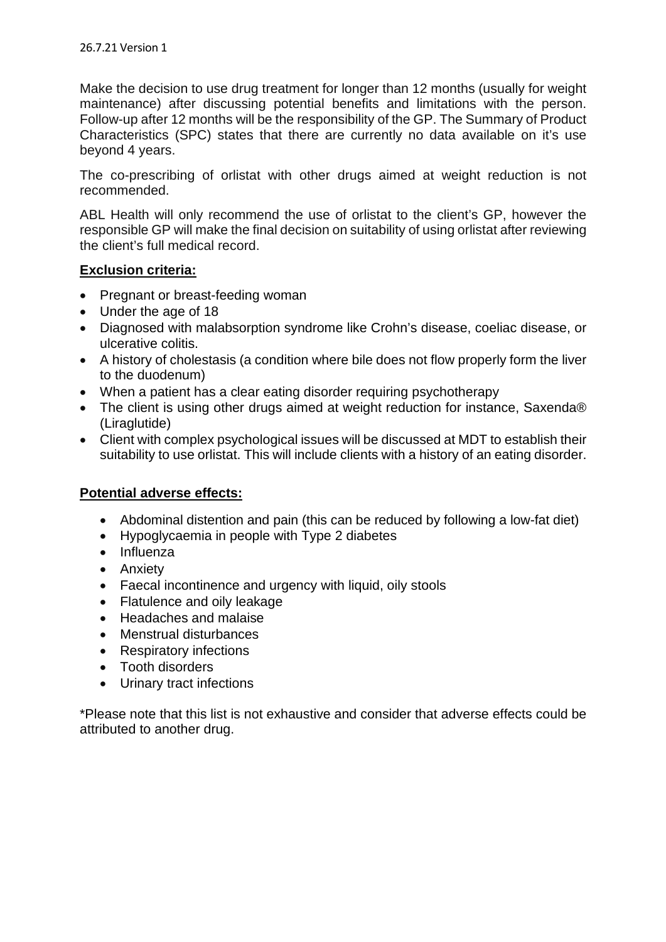Make the decision to use drug treatment for longer than 12 months (usually for weight maintenance) after discussing potential benefits and limitations with the person. Follow-up after 12 months will be the responsibility of the GP. The Summary of Product Characteristics (SPC) states that there are currently no data available on it's use beyond 4 years.

The co-prescribing of orlistat with other drugs aimed at weight reduction is not recommended.

ABL Health will only recommend the use of orlistat to the client's GP, however the responsible GP will make the final decision on suitability of using orlistat after reviewing the client's full medical record.

## **Exclusion criteria:**

- Pregnant or breast-feeding woman
- Under the age of 18
- Diagnosed with malabsorption syndrome like Crohn's disease, coeliac disease, or ulcerative colitis.
- A history of cholestasis (a condition where bile does not flow properly form the liver to the duodenum)
- When a patient has a clear eating disorder requiring psychotherapy
- The client is using other drugs aimed at weight reduction for instance, Saxenda® (Liraglutide)
- Client with complex psychological issues will be discussed at MDT to establish their suitability to use orlistat. This will include clients with a history of an eating disorder.

## **Potential adverse effects:**

- Abdominal distention and pain (this can be reduced by following a low-fat diet)
- Hypoglycaemia in people with Type 2 diabetes
- Influenza
- Anxiety
- Faecal incontinence and urgency with liquid, oily stools
- Flatulence and oily leakage
- Headaches and malaise
- Menstrual disturbances
- Respiratory infections
- Tooth disorders
- Urinary tract infections

\*Please note that this list is not exhaustive and consider that adverse effects could be attributed to another drug.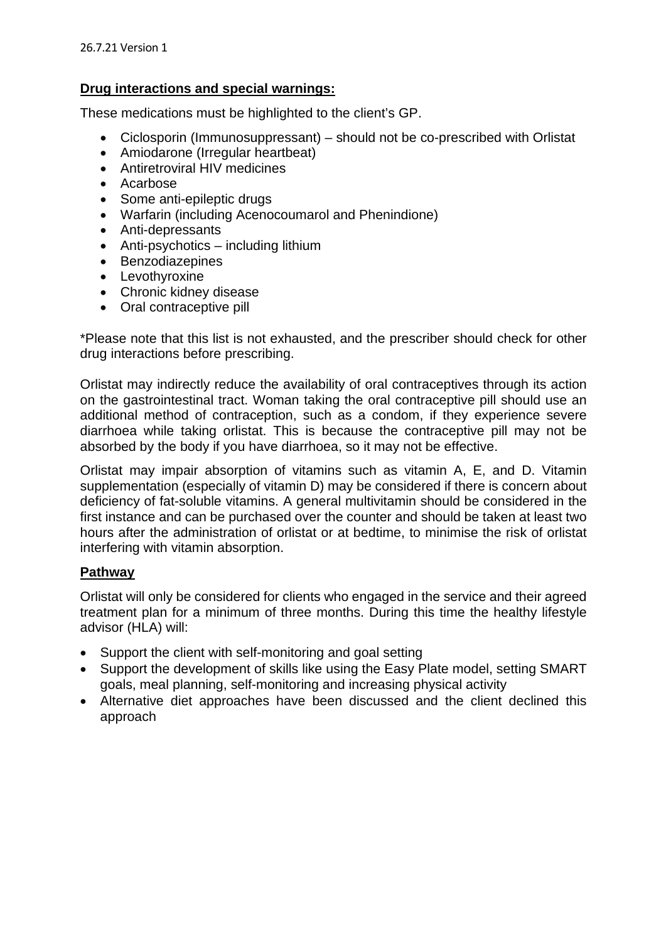## **Drug interactions and special warnings:**

These medications must be highlighted to the client's GP.

- Ciclosporin (Immunosuppressant) should not be co-prescribed with Orlistat
- Amiodarone (Irregular heartbeat)
- Antiretroviral HIV medicines
- Acarbose
- Some anti-epileptic drugs
- Warfarin (including Acenocoumarol and Phenindione)
- Anti-depressants
- Anti-psychotics including lithium
- Benzodiazepines
- Levothyroxine
- Chronic kidney disease
- Oral contraceptive pill

\*Please note that this list is not exhausted, and the prescriber should check for other drug interactions before prescribing.

Orlistat may indirectly reduce the availability of oral contraceptives through its action on the gastrointestinal tract. Woman taking the oral contraceptive pill should use an additional method of contraception, such as a condom, if they experience severe diarrhoea while taking orlistat. This is because the contraceptive pill may not be absorbed by the body if you have diarrhoea, so it may not be effective.

Orlistat may impair absorption of vitamins such as vitamin A, E, and D. Vitamin supplementation (especially of vitamin D) may be considered if there is concern about deficiency of fat-soluble vitamins. A general multivitamin should be considered in the first instance and can be purchased over the counter and should be taken at least two hours after the administration of orlistat or at bedtime, to minimise the risk of orlistat interfering with vitamin absorption.

## **Pathway**

Orlistat will only be considered for clients who engaged in the service and their agreed treatment plan for a minimum of three months. During this time the healthy lifestyle advisor (HLA) will:

- Support the client with self-monitoring and goal setting
- Support the development of skills like using the Easy Plate model, setting SMART goals, meal planning, self-monitoring and increasing physical activity
- Alternative diet approaches have been discussed and the client declined this approach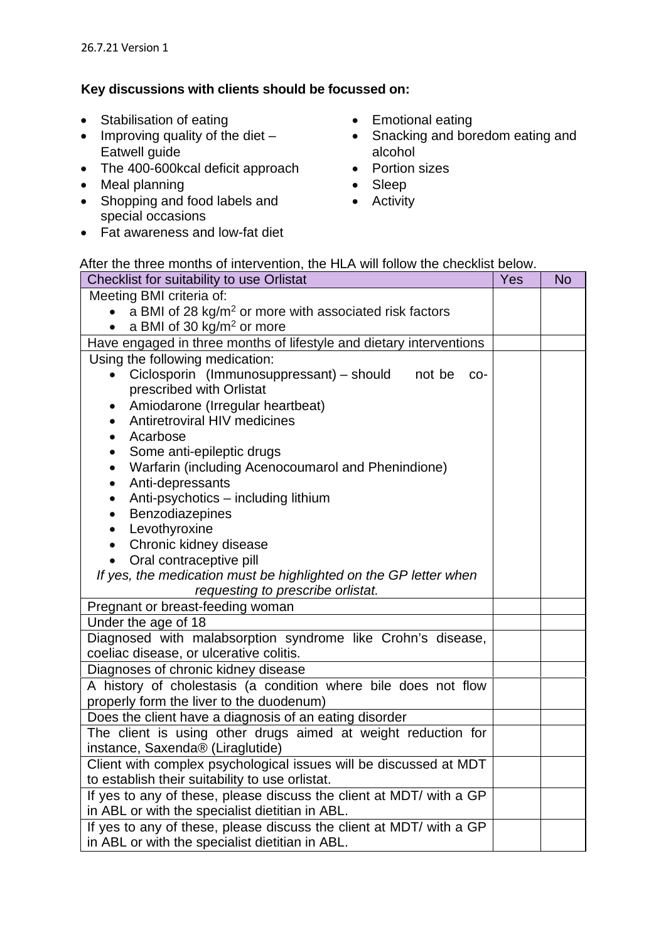# **Key discussions with clients should be focussed on:**

- Stabilisation of eating
- $\bullet$  Improving quality of the diet  $-$ Eatwell guide
- The 400-600 kcal deficit approach
- Meal planning
- Shopping and food labels and special occasions
- Fat awareness and low-fat diet
- Emotional eating
- Snacking and boredom eating and alcohol
- Portion sizes
- Sleep
- Activity

### After the three months of intervention, the HLA will follow the checklist below.

| Checklist for suitability to use Orlistat                                                                            | Yes | <b>No</b> |  |  |
|----------------------------------------------------------------------------------------------------------------------|-----|-----------|--|--|
| Meeting BMI criteria of:                                                                                             |     |           |  |  |
| a BMI of 28 kg/m <sup>2</sup> or more with associated risk factors                                                   |     |           |  |  |
| a BMI of 30 kg/m <sup>2</sup> or more                                                                                |     |           |  |  |
| Have engaged in three months of lifestyle and dietary interventions                                                  |     |           |  |  |
| Using the following medication:                                                                                      |     |           |  |  |
| Ciclosporin (Immunosuppressant) – should<br>not be<br>$\bullet$<br>CO-                                               |     |           |  |  |
| prescribed with Orlistat                                                                                             |     |           |  |  |
| Amiodarone (Irregular heartbeat)<br>$\bullet$                                                                        |     |           |  |  |
| Antiretroviral HIV medicines<br>$\bullet$                                                                            |     |           |  |  |
| Acarbose                                                                                                             |     |           |  |  |
| Some anti-epileptic drugs                                                                                            |     |           |  |  |
| Warfarin (including Acenocoumarol and Phenindione)<br>$\bullet$                                                      |     |           |  |  |
| Anti-depressants<br>$\bullet$                                                                                        |     |           |  |  |
| Anti-psychotics - including lithium<br>$\bullet$                                                                     |     |           |  |  |
| Benzodiazepines<br>$\bullet$                                                                                         |     |           |  |  |
| Levothyroxine                                                                                                        |     |           |  |  |
| Chronic kidney disease<br>$\bullet$                                                                                  |     |           |  |  |
| Oral contraceptive pill<br>$\bullet$                                                                                 |     |           |  |  |
| If yes, the medication must be highlighted on the GP letter when                                                     |     |           |  |  |
| requesting to prescribe orlistat.<br>Pregnant or breast-feeding woman                                                |     |           |  |  |
| Under the age of 18                                                                                                  |     |           |  |  |
| Diagnosed with malabsorption syndrome like Crohn's disease,                                                          |     |           |  |  |
| coeliac disease, or ulcerative colitis.                                                                              |     |           |  |  |
| Diagnoses of chronic kidney disease                                                                                  |     |           |  |  |
| A history of cholestasis (a condition where bile does not flow                                                       |     |           |  |  |
| properly form the liver to the duodenum)                                                                             |     |           |  |  |
| Does the client have a diagnosis of an eating disorder                                                               |     |           |  |  |
| The client is using other drugs aimed at weight reduction for                                                        |     |           |  |  |
| instance, Saxenda® (Liraglutide)                                                                                     |     |           |  |  |
| Client with complex psychological issues will be discussed at MDT<br>to establish their suitability to use orlistat. |     |           |  |  |
| If yes to any of these, please discuss the client at MDT/ with a GP                                                  |     |           |  |  |
| in ABL or with the specialist dietitian in ABL.                                                                      |     |           |  |  |
| If yes to any of these, please discuss the client at MDT/ with a GP                                                  |     |           |  |  |
| in ABL or with the specialist dietitian in ABL.                                                                      |     |           |  |  |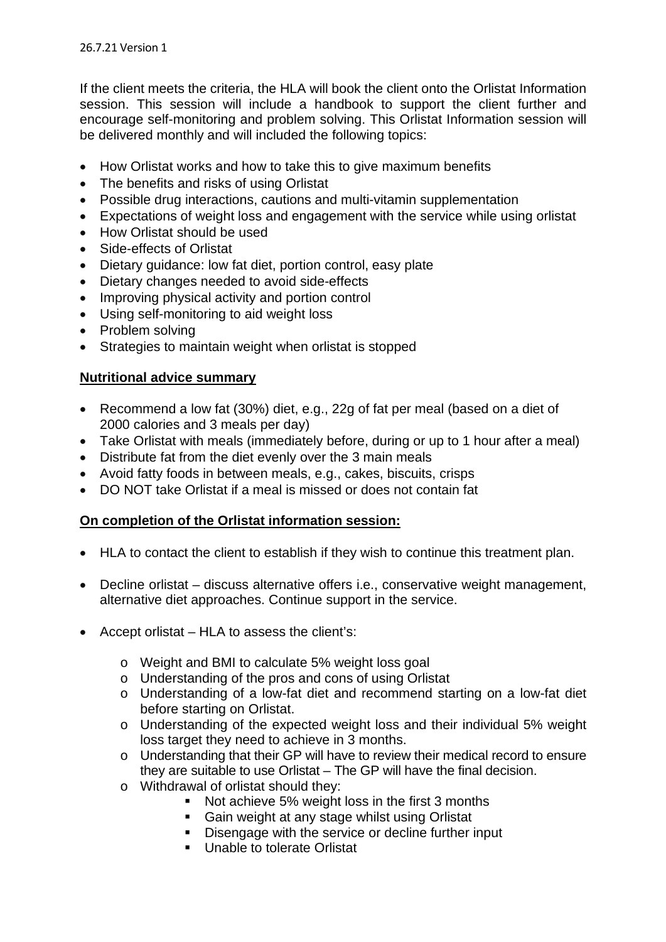If the client meets the criteria, the HLA will book the client onto the Orlistat Information session. This session will include a handbook to support the client further and encourage self-monitoring and problem solving. This Orlistat Information session will be delivered monthly and will included the following topics:

- How Orlistat works and how to take this to give maximum benefits
- The benefits and risks of using Orlistat
- Possible drug interactions, cautions and multi-vitamin supplementation
- Expectations of weight loss and engagement with the service while using orlistat
- How Orlistat should be used
- Side-effects of Orlistat
- Dietary quidance: low fat diet, portion control, easy plate
- Dietary changes needed to avoid side-effects
- Improving physical activity and portion control
- Using self-monitoring to aid weight loss
- Problem solving
- Strategies to maintain weight when orlistat is stopped

# **Nutritional advice summary**

- Recommend a low fat (30%) diet, e.g., 22g of fat per meal (based on a diet of 2000 calories and 3 meals per day)
- Take Orlistat with meals (immediately before, during or up to 1 hour after a meal)
- Distribute fat from the diet evenly over the 3 main meals
- Avoid fatty foods in between meals, e.g., cakes, biscuits, crisps
- DO NOT take Orlistat if a meal is missed or does not contain fat

# **On completion of the Orlistat information session:**

- HLA to contact the client to establish if they wish to continue this treatment plan.
- Decline orlistat discuss alternative offers i.e., conservative weight management, alternative diet approaches. Continue support in the service.
- Accept orlistat HLA to assess the client's:
	- o Weight and BMI to calculate 5% weight loss goal
	- o Understanding of the pros and cons of using Orlistat
	- o Understanding of a low-fat diet and recommend starting on a low-fat diet before starting on Orlistat.
	- o Understanding of the expected weight loss and their individual 5% weight loss target they need to achieve in 3 months.
	- o Understanding that their GP will have to review their medical record to ensure they are suitable to use Orlistat – The GP will have the final decision.
	- o Withdrawal of orlistat should they:
		- Not achieve 5% weight loss in the first 3 months
		- **Gain weight at any stage whilst using Orlistat**
		- Disengage with the service or decline further input
		- **Unable to tolerate Orlistat**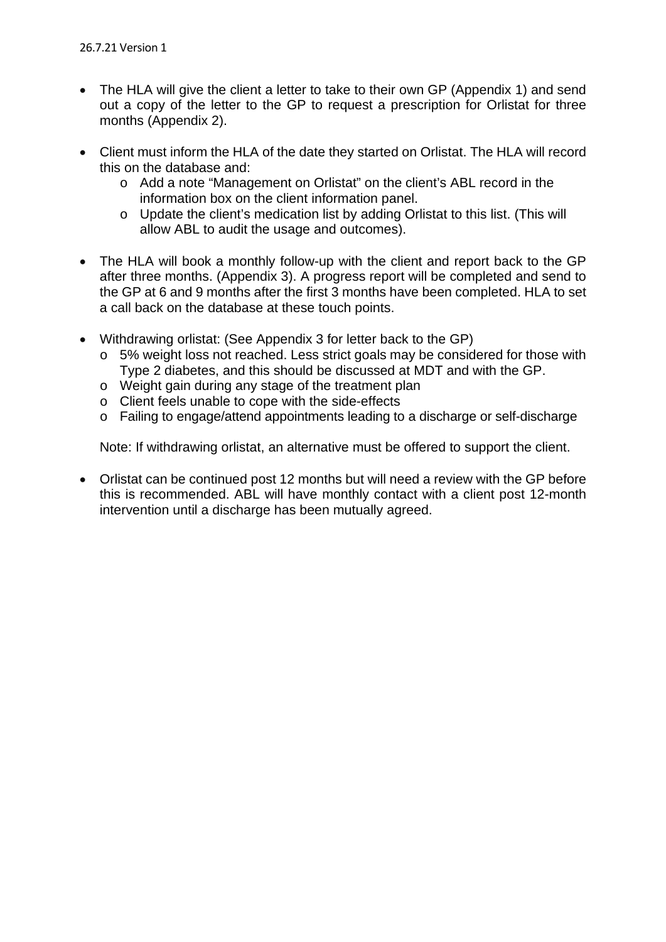- The HLA will give the client a letter to take to their own GP (Appendix 1) and send out a copy of the letter to the GP to request a prescription for Orlistat for three months (Appendix 2).
- Client must inform the HLA of the date they started on Orlistat. The HLA will record this on the database and:
	- o Add a note "Management on Orlistat" on the client's ABL record in the information box on the client information panel.
	- o Update the client's medication list by adding Orlistat to this list. (This will allow ABL to audit the usage and outcomes).
- The HLA will book a monthly follow-up with the client and report back to the GP after three months. (Appendix 3). A progress report will be completed and send to the GP at 6 and 9 months after the first 3 months have been completed. HLA to set a call back on the database at these touch points.
- Withdrawing orlistat: (See Appendix 3 for letter back to the GP)
	- o 5% weight loss not reached. Less strict goals may be considered for those with Type 2 diabetes, and this should be discussed at MDT and with the GP.
	- o Weight gain during any stage of the treatment plan
	- o Client feels unable to cope with the side-effects
	- o Failing to engage/attend appointments leading to a discharge or self-discharge

Note: If withdrawing orlistat, an alternative must be offered to support the client.

 Orlistat can be continued post 12 months but will need a review with the GP before this is recommended. ABL will have monthly contact with a client post 12-month intervention until a discharge has been mutually agreed.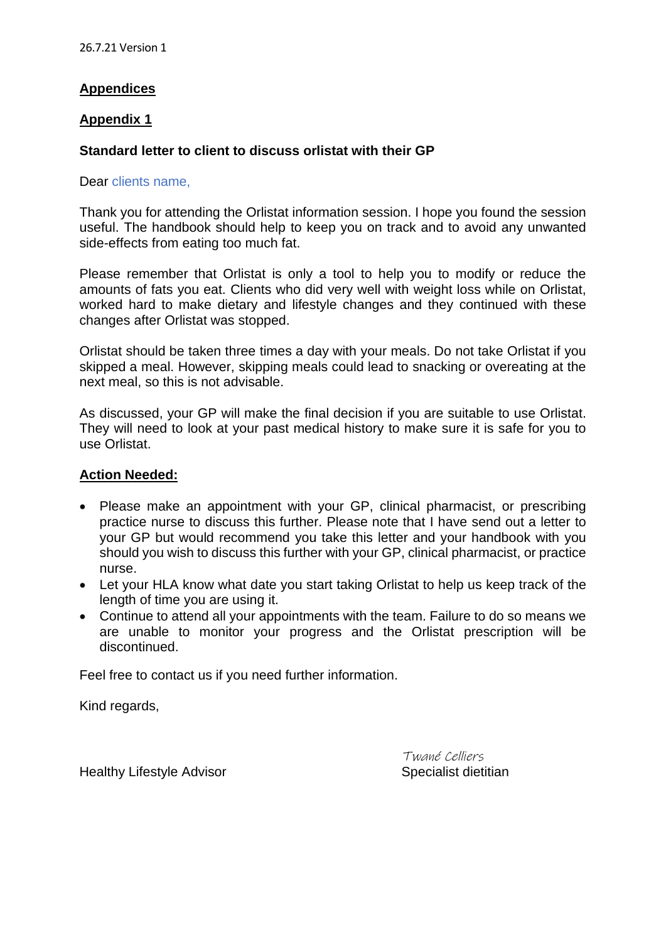# **Appendices**

### **Appendix 1**

## **Standard letter to client to discuss orlistat with their GP**

#### Dear clients name,

Thank you for attending the Orlistat information session. I hope you found the session useful. The handbook should help to keep you on track and to avoid any unwanted side-effects from eating too much fat.

Please remember that Orlistat is only a tool to help you to modify or reduce the amounts of fats you eat. Clients who did very well with weight loss while on Orlistat, worked hard to make dietary and lifestyle changes and they continued with these changes after Orlistat was stopped.

Orlistat should be taken three times a day with your meals. Do not take Orlistat if you skipped a meal. However, skipping meals could lead to snacking or overeating at the next meal, so this is not advisable.

As discussed, your GP will make the final decision if you are suitable to use Orlistat. They will need to look at your past medical history to make sure it is safe for you to use Orlistat.

### **Action Needed:**

- Please make an appointment with your GP, clinical pharmacist, or prescribing practice nurse to discuss this further. Please note that I have send out a letter to your GP but would recommend you take this letter and your handbook with you should you wish to discuss this further with your GP, clinical pharmacist, or practice nurse.
- Let your HLA know what date you start taking Orlistat to help us keep track of the length of time you are using it.
- Continue to attend all your appointments with the team. Failure to do so means we are unable to monitor your progress and the Orlistat prescription will be discontinued.

Feel free to contact us if you need further information.

Kind regards,

Healthy Lifestyle Advisor **Specialist** dietitian

Twané Celliers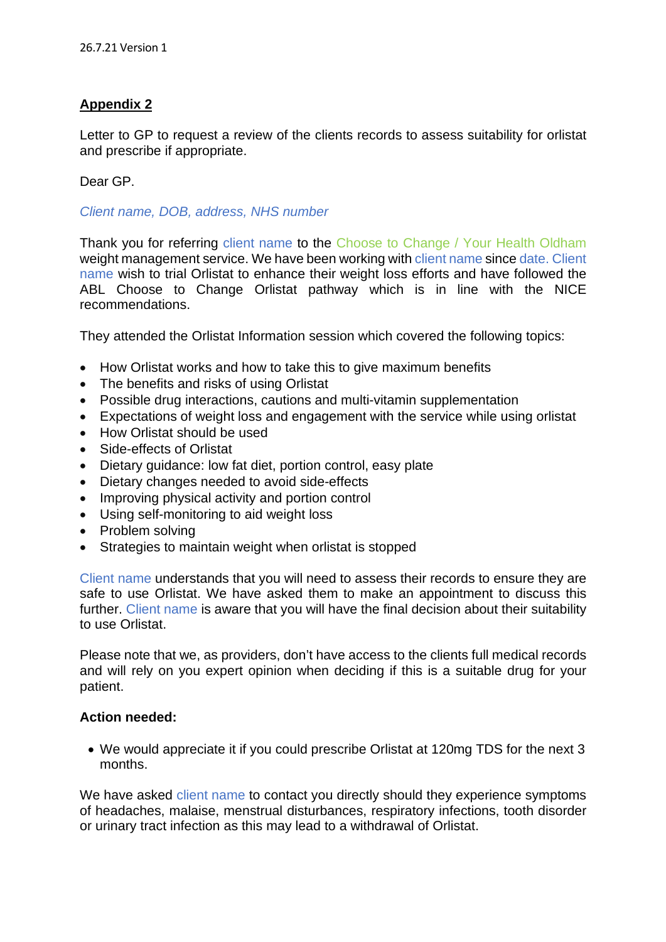# **Appendix 2**

Letter to GP to request a review of the clients records to assess suitability for orlistat and prescribe if appropriate.

Dear GP.

*Client name, DOB, address, NHS number* 

Thank you for referring client name to the Choose to Change / Your Health Oldham weight management service. We have been working with client name since date. Client name wish to trial Orlistat to enhance their weight loss efforts and have followed the ABL Choose to Change Orlistat pathway which is in line with the NICE recommendations.

They attended the Orlistat Information session which covered the following topics:

- How Orlistat works and how to take this to give maximum benefits
- The benefits and risks of using Orlistat
- Possible drug interactions, cautions and multi-vitamin supplementation
- Expectations of weight loss and engagement with the service while using orlistat
- How Orlistat should be used
- Side-effects of Orlistat
- Dietary guidance: low fat diet, portion control, easy plate
- Dietary changes needed to avoid side-effects
- Improving physical activity and portion control
- Using self-monitoring to aid weight loss
- Problem solving
- Strategies to maintain weight when orlistat is stopped

Client name understands that you will need to assess their records to ensure they are safe to use Orlistat. We have asked them to make an appointment to discuss this further. Client name is aware that you will have the final decision about their suitability to use Orlistat.

Please note that we, as providers, don't have access to the clients full medical records and will rely on you expert opinion when deciding if this is a suitable drug for your patient.

#### **Action needed:**

 We would appreciate it if you could prescribe Orlistat at 120mg TDS for the next 3 months.

We have asked client name to contact you directly should they experience symptoms of headaches, malaise, menstrual disturbances, respiratory infections, tooth disorder or urinary tract infection as this may lead to a withdrawal of Orlistat.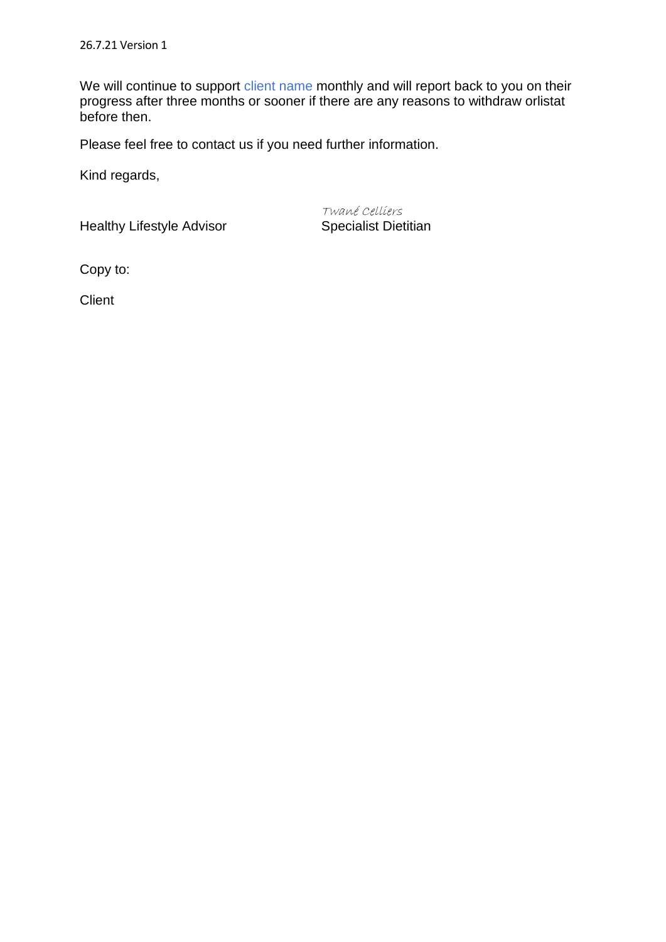We will continue to support client name monthly and will report back to you on their progress after three months or sooner if there are any reasons to withdraw orlistat before then.

Please feel free to contact us if you need further information.

Kind regards,

Healthy Lifestyle Advisor Specialist Dietitian

Twané Celliers

Copy to:

**Client**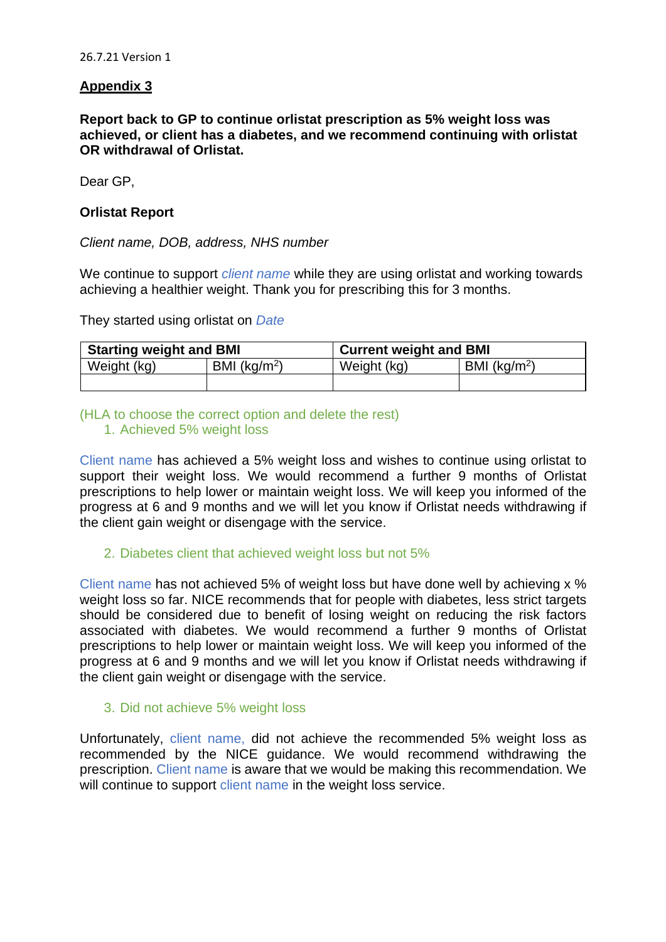## **Appendix 3**

**Report back to GP to continue orlistat prescription as 5% weight loss was achieved, or client has a diabetes, and we recommend continuing with orlistat OR withdrawal of Orlistat.** 

Dear GP,

### **Orlistat Report**

*Client name, DOB, address, NHS number* 

We continue to support *client name* while they are using orlistat and working towards achieving a healthier weight. Thank you for prescribing this for 3 months.

They started using orlistat on *Date*

| <b>Starting weight and BMI</b> |                 | <b>Current weight and BMI</b> |                 |  |
|--------------------------------|-----------------|-------------------------------|-----------------|--|
| Weight (kg)                    | BMI ( $kg/m2$ ) | Weight (kg)                   | BMI ( $kg/m2$ ) |  |
|                                |                 |                               |                 |  |

#### (HLA to choose the correct option and delete the rest) 1. Achieved 5% weight loss

Client name has achieved a 5% weight loss and wishes to continue using orlistat to support their weight loss. We would recommend a further 9 months of Orlistat prescriptions to help lower or maintain weight loss. We will keep you informed of the progress at 6 and 9 months and we will let you know if Orlistat needs withdrawing if the client gain weight or disengage with the service.

2. Diabetes client that achieved weight loss but not 5%

Client name has not achieved 5% of weight loss but have done well by achieving x % weight loss so far. NICE recommends that for people with diabetes, less strict targets should be considered due to benefit of losing weight on reducing the risk factors associated with diabetes. We would recommend a further 9 months of Orlistat prescriptions to help lower or maintain weight loss. We will keep you informed of the progress at 6 and 9 months and we will let you know if Orlistat needs withdrawing if the client gain weight or disengage with the service.

#### 3. Did not achieve 5% weight loss

Unfortunately, client name, did not achieve the recommended 5% weight loss as recommended by the NICE guidance. We would recommend withdrawing the prescription. Client name is aware that we would be making this recommendation. We will continue to support client name in the weight loss service.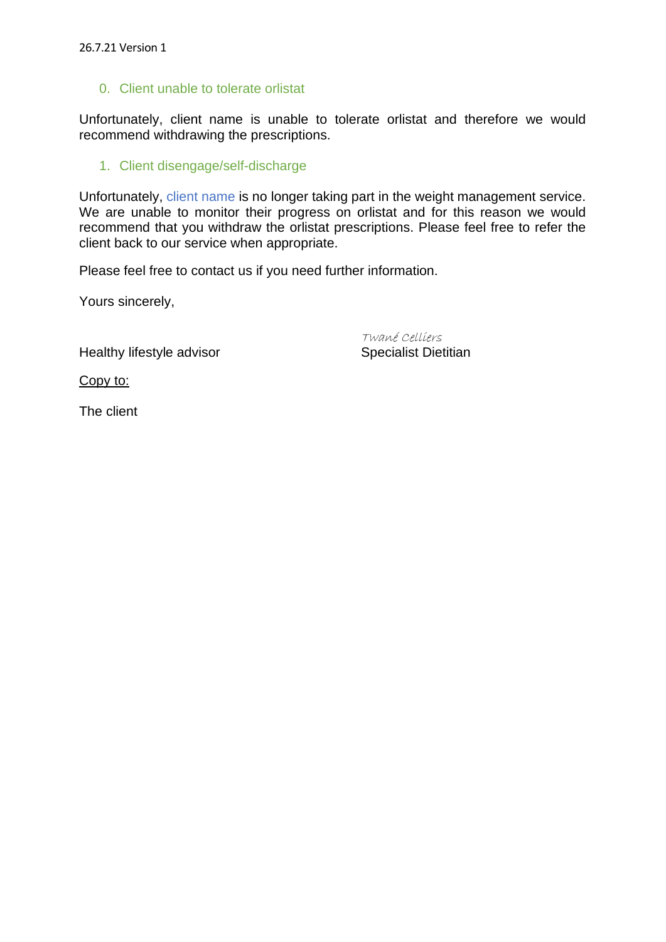#### 0. Client unable to tolerate orlistat

Unfortunately, client name is unable to tolerate orlistat and therefore we would recommend withdrawing the prescriptions.

#### 1. Client disengage/self-discharge

Unfortunately, client name is no longer taking part in the weight management service. We are unable to monitor their progress on orlistat and for this reason we would recommend that you withdraw the orlistat prescriptions. Please feel free to refer the client back to our service when appropriate.

Please feel free to contact us if you need further information.

Yours sincerely,

Healthy lifestyle advisor Specialist Dietitian

Twané Celliers

Copy to:

The client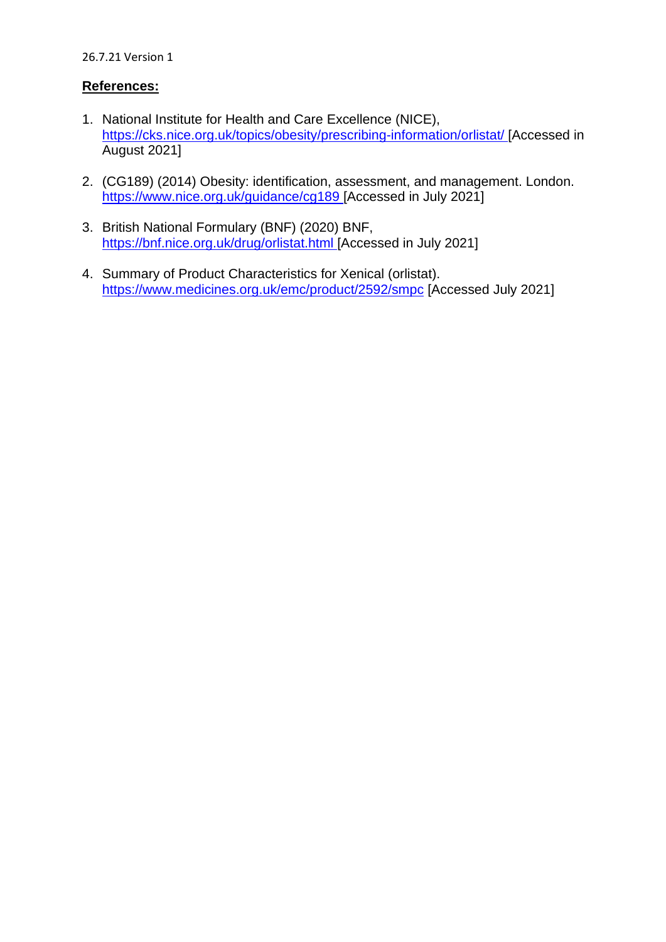#### 26.7.21 Version 1

## **References:**

- 1. National Institute for Health and Care Excellence (NICE), [https://cks.nice.org.uk/topics/obesity/prescribing-information/orlistat/ \[](https://cks.nice.org.uk/topics/obesity/prescribing-information/orlistat/)Accessed in August 2021]
- 2. (CG189) (2014) Obesity: identification, [as](https://www.nice.org.uk/guidance/cg189)sessment, and management. London. <https://www.nice.org.uk/guidance/cg189>[Accessed in July 2021]
- 3. British National Formulary (BNF) (2020) BNF, [https://bnf.nice.org.uk/drug/orlistat.html \[](https://bnf.nice.org.uk/drug/orlistat.html)Accessed in July 2021]
- 4. Summary of Product Characteristics for Xenical (orlistat). <https://www.medicines.org.uk/emc/product/2592/smpc> [Accessed July 2021]